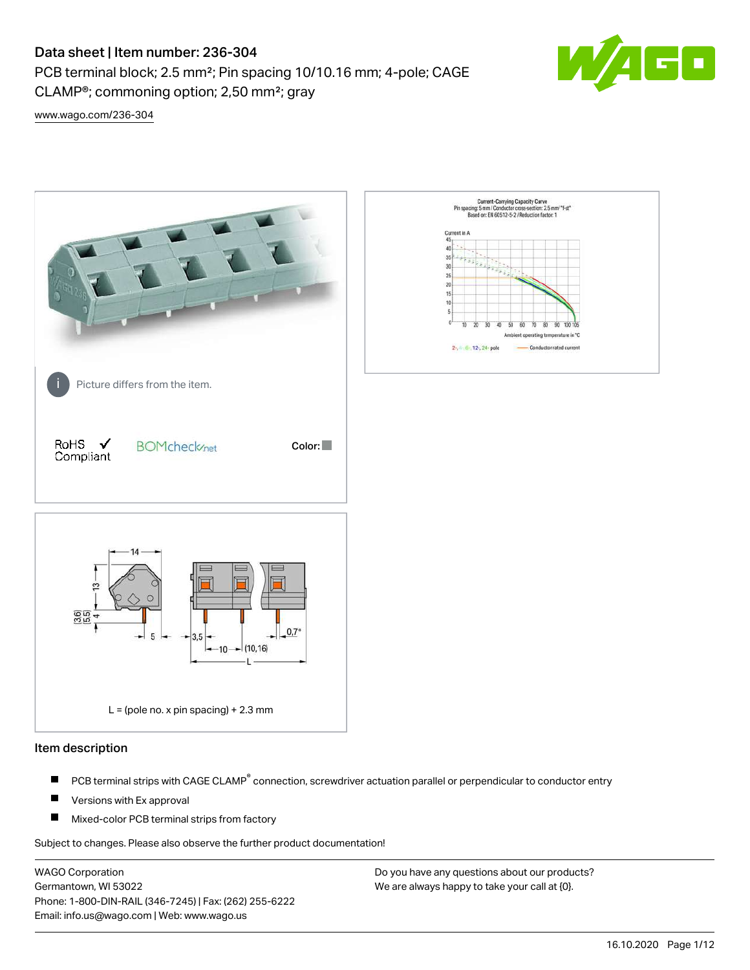PCB terminal block; 2.5 mm²; Pin spacing 10/10.16 mm; 4-pole; CAGE CLAMP®; commoning option; 2,50 mm²; gray



[www.wago.com/236-304](http://www.wago.com/236-304)



#### Item description

- PCB terminal strips with CAGE CLAMP<sup>®</sup> connection, screwdriver actuation parallel or perpendicular to conductor entry П
- П Versions with Ex approval
- П Mixed-color PCB terminal strips from factory

Subject to changes. Please also observe the further product documentation!

WAGO Corporation Germantown, WI 53022 Phone: 1-800-DIN-RAIL (346-7245) | Fax: (262) 255-6222 Email: info.us@wago.com | Web: www.wago.us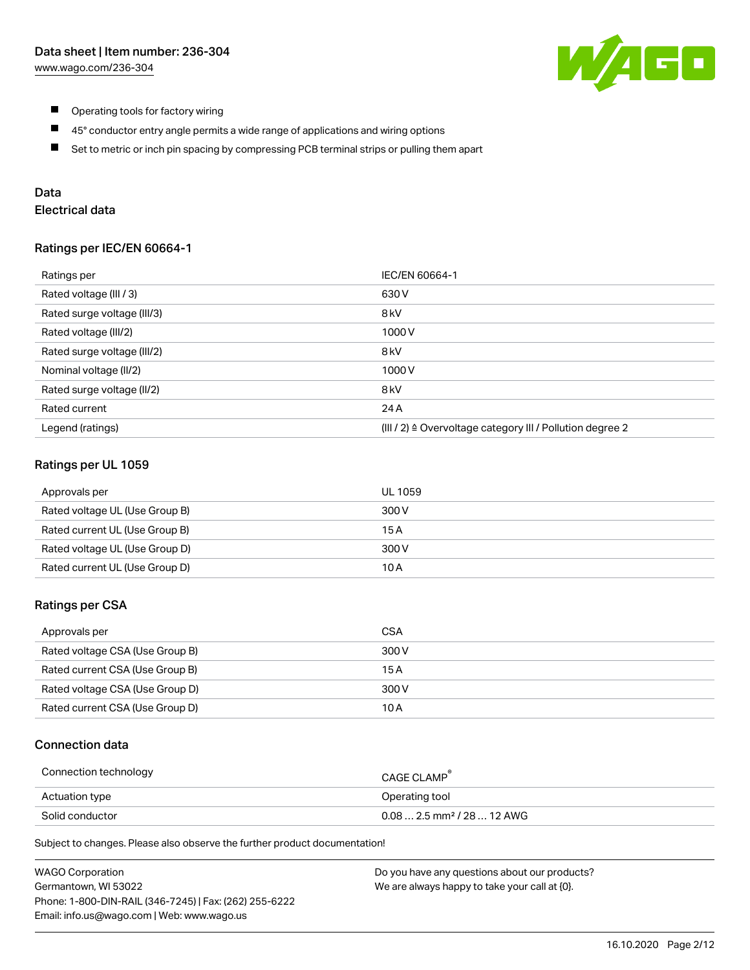

- $\blacksquare$ Operating tools for factory wiring
- $\blacksquare$ 45° conductor entry angle permits a wide range of applications and wiring options
- $\blacksquare$ Set to metric or inch pin spacing by compressing PCB terminal strips or pulling them apart

# Data

# Electrical data

#### Ratings per IEC/EN 60664-1

| Ratings per                 | IEC/EN 60664-1                                            |
|-----------------------------|-----------------------------------------------------------|
| Rated voltage (III / 3)     | 630 V                                                     |
| Rated surge voltage (III/3) | 8 <sub>kV</sub>                                           |
| Rated voltage (III/2)       | 1000 V                                                    |
| Rated surge voltage (III/2) | 8 <sub>kV</sub>                                           |
| Nominal voltage (II/2)      | 1000 V                                                    |
| Rated surge voltage (II/2)  | 8 <sub>kV</sub>                                           |
| Rated current               | 24 A                                                      |
| Legend (ratings)            | (III / 2) ≙ Overvoltage category III / Pollution degree 2 |

### Ratings per UL 1059

| Approvals per                  | UL 1059 |
|--------------------------------|---------|
| Rated voltage UL (Use Group B) | 300 V   |
| Rated current UL (Use Group B) | 15 A    |
| Rated voltage UL (Use Group D) | 300 V   |
| Rated current UL (Use Group D) | 10 A    |

#### Ratings per CSA

| Approvals per                   | CSA   |
|---------------------------------|-------|
| Rated voltage CSA (Use Group B) | 300 V |
| Rated current CSA (Use Group B) | 15 A  |
| Rated voltage CSA (Use Group D) | 300 V |
| Rated current CSA (Use Group D) | 10 A  |

#### Connection data

| Connection technology | CAGE CLAMP                              |
|-----------------------|-----------------------------------------|
| Actuation type        | Operating tool                          |
| Solid conductor       | $0.08$ 2.5 mm <sup>2</sup> / 28  12 AWG |

Subject to changes. Please also observe the further product documentation!

| <b>WAGO Corporation</b>                                | Do you have any questions about our products? |
|--------------------------------------------------------|-----------------------------------------------|
| Germantown, WI 53022                                   | We are always happy to take your call at {0}. |
| Phone: 1-800-DIN-RAIL (346-7245)   Fax: (262) 255-6222 |                                               |
| Email: info.us@wago.com   Web: www.wago.us             |                                               |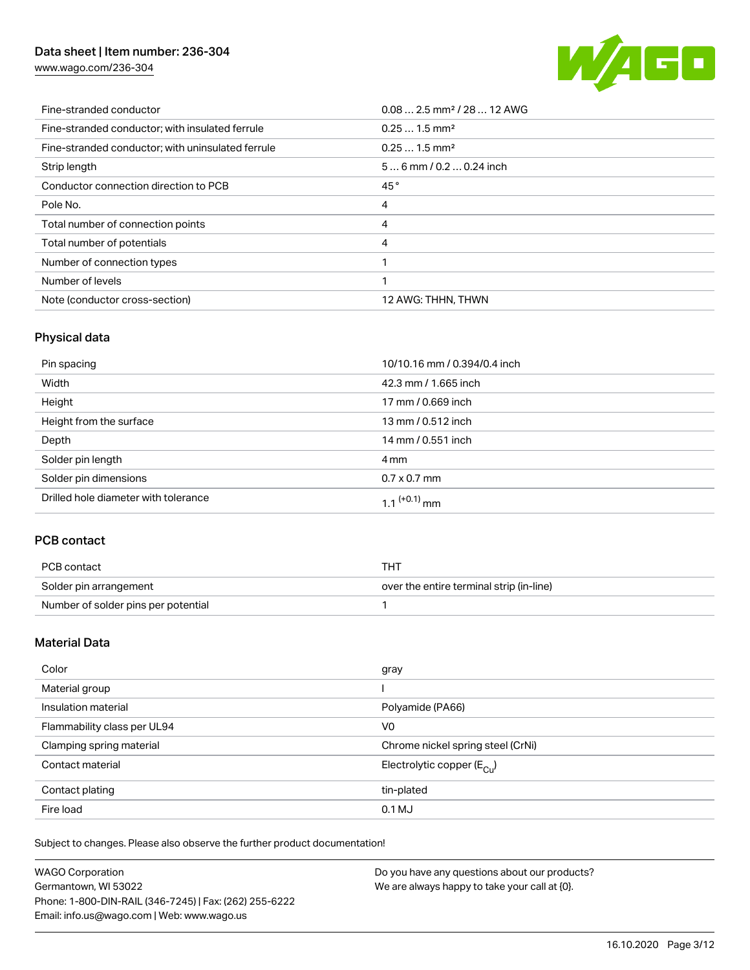[www.wago.com/236-304](http://www.wago.com/236-304)



| Fine-stranded conductor                           | $0.08$ 2.5 mm <sup>2</sup> / 28  12 AWG |
|---------------------------------------------------|-----------------------------------------|
| Fine-stranded conductor; with insulated ferrule   | $0.251.5$ mm <sup>2</sup>               |
| Fine-stranded conductor; with uninsulated ferrule | $0.251.5$ mm <sup>2</sup>               |
| Strip length                                      | $56$ mm / 0.2  0.24 inch                |
| Conductor connection direction to PCB             | 45°                                     |
| Pole No.                                          | 4                                       |
| Total number of connection points                 | 4                                       |
| Total number of potentials                        | 4                                       |
| Number of connection types                        |                                         |
| Number of levels                                  |                                         |
| Note (conductor cross-section)                    | 12 AWG: THHN, THWN                      |

# Physical data

| Pin spacing                          | 10/10.16 mm / 0.394/0.4 inch |
|--------------------------------------|------------------------------|
| Width                                | 42.3 mm / 1.665 inch         |
| Height                               | 17 mm / 0.669 inch           |
| Height from the surface              | 13 mm / 0.512 inch           |
| Depth                                | 14 mm / 0.551 inch           |
| Solder pin length                    | 4 mm                         |
| Solder pin dimensions                | $0.7 \times 0.7$ mm          |
| Drilled hole diameter with tolerance | 1.1 $(+0.1)$ mm              |

## PCB contact

| PCB contact                         | THT                                      |
|-------------------------------------|------------------------------------------|
| Solder pin arrangement              | over the entire terminal strip (in-line) |
| Number of solder pins per potential |                                          |

## Material Data

| Color                       | gray                                   |
|-----------------------------|----------------------------------------|
| Material group              |                                        |
| Insulation material         | Polyamide (PA66)                       |
| Flammability class per UL94 | V <sub>0</sub>                         |
| Clamping spring material    | Chrome nickel spring steel (CrNi)      |
| Contact material            | Electrolytic copper $(E_{\text{CII}})$ |
| Contact plating             | tin-plated                             |
| Fire load                   | 0.1 MJ                                 |

Subject to changes. Please also observe the further product documentation!

| <b>WAGO Corporation</b>                                | Do you have any questions about our products? |
|--------------------------------------------------------|-----------------------------------------------|
| Germantown, WI 53022                                   | We are always happy to take your call at {0}. |
| Phone: 1-800-DIN-RAIL (346-7245)   Fax: (262) 255-6222 |                                               |
| Email: info.us@wago.com   Web: www.wago.us             |                                               |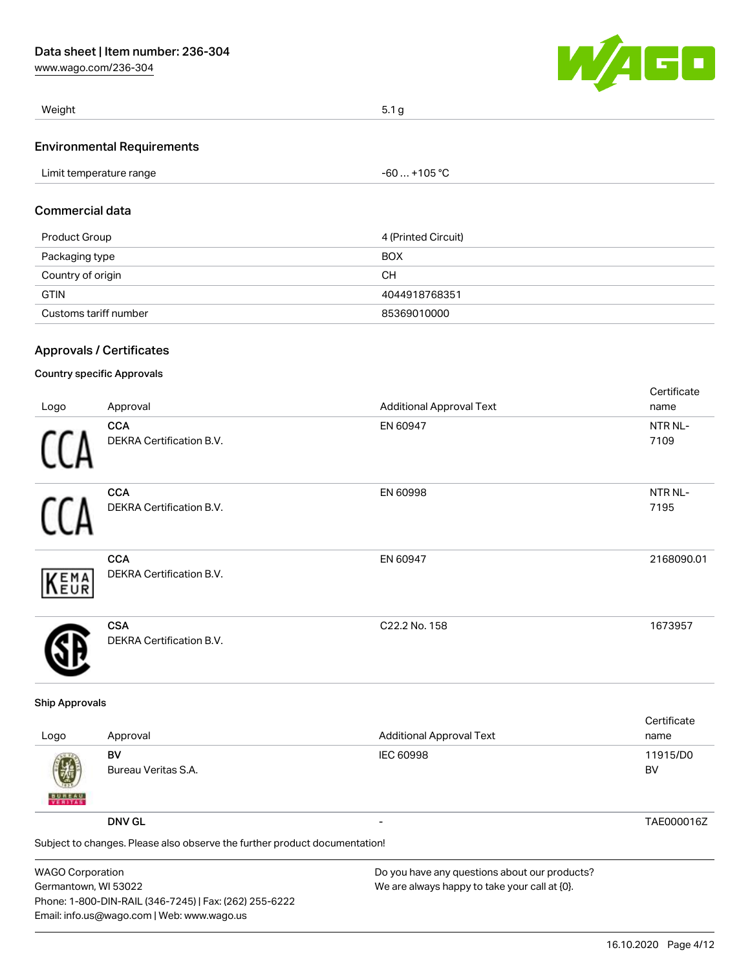[www.wago.com/236-304](http://www.wago.com/236-304)



| Weight                            | 5.1 <sub>g</sub> |
|-----------------------------------|------------------|
| <b>Environmental Requirements</b> |                  |

| Limit temperature range | -60  +105 °C        |  |
|-------------------------|---------------------|--|
| Commercial data         |                     |  |
| Product Group           | 4 (Printed Circuit) |  |

| <b>FIULL OIUUP</b>    | $4$ (Princed Unculy |
|-----------------------|---------------------|
| Packaging type        | <b>BOX</b>          |
| Country of origin     | CН                  |
| <b>GTIN</b>           | 4044918768351       |
| Customs tariff number | 85369010000         |
|                       |                     |

## Approvals / Certificates

## Country specific Approvals

|      |                                               |                                 | Certificate     |
|------|-----------------------------------------------|---------------------------------|-----------------|
| Logo | Approval                                      | <b>Additional Approval Text</b> | name            |
|      | <b>CCA</b><br><b>DEKRA Certification B.V.</b> | EN 60947                        | NTR NL-<br>7109 |
| Ĥ    | <b>CCA</b><br>DEKRA Certification B.V.        | EN 60998                        | NTR NL-<br>7195 |
| KEMA | <b>CCA</b><br>DEKRA Certification B.V.        | EN 60947                        | 2168090.01      |
|      | <b>CSA</b><br><b>DEKRA Certification B.V.</b> | C22.2 No. 158                   | 1673957         |

#### Ship Approvals

| Logo                          | Approval                                                                   | <b>Additional Approval Text</b>                                                                                 | Certificate<br>name |
|-------------------------------|----------------------------------------------------------------------------|-----------------------------------------------------------------------------------------------------------------|---------------------|
| 嚩<br><b>BUREAU</b><br>VERITAS | BV<br>Bureau Veritas S.A.                                                  | <b>IEC 60998</b>                                                                                                | 11915/D0<br>BV      |
|                               | <b>DNV GL</b>                                                              |                                                                                                                 | TAE000016Z          |
|                               | Subject to changes. Please also observe the further product documentation! |                                                                                                                 |                     |
| .                             |                                                                            | the contract of the contract of the contract of the contract of the contract of the contract of the contract of |                     |

WAGO Corporation Germantown, WI 53022 Phone: 1-800-DIN-RAIL (346-7245) | Fax: (262) 255-6222 Email: info.us@wago.com | Web: www.wago.us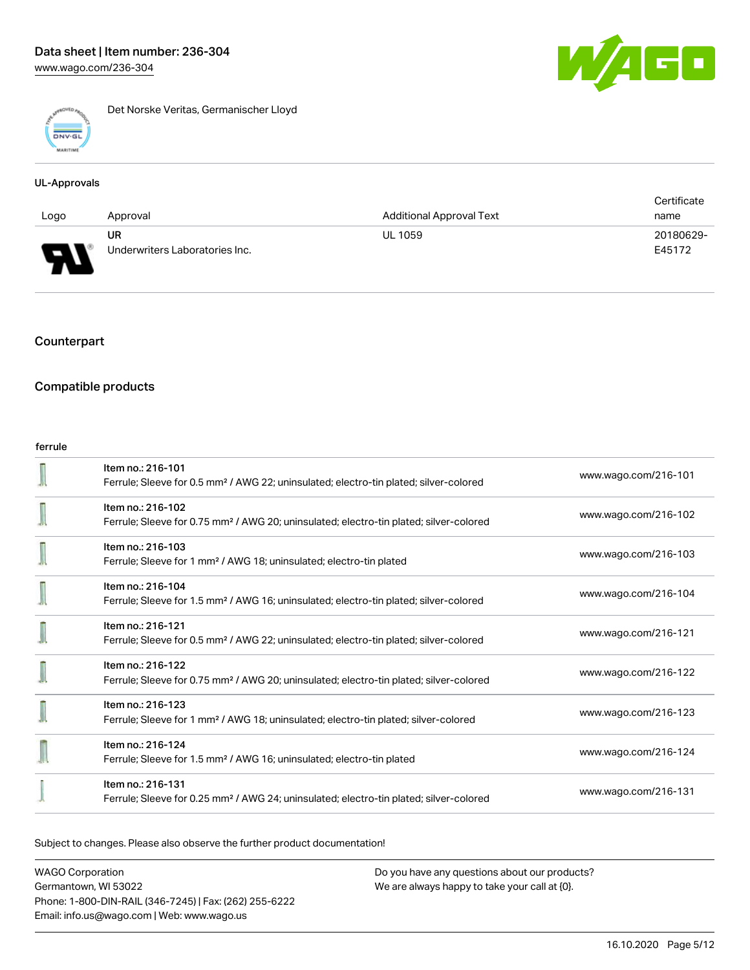

Det Norske Veritas, Germanischer Lloyd

#### UL-Approvals

|      |                                |                                 | Certificate |
|------|--------------------------------|---------------------------------|-------------|
| Logo | Approval                       | <b>Additional Approval Text</b> | name        |
|      | UR                             | <b>UL 1059</b>                  | 20180629-   |
| L    | Underwriters Laboratories Inc. |                                 | E45172      |

## Counterpart

## Compatible products

#### ferrule

| Item no.: 216-101<br>Ferrule; Sleeve for 0.5 mm <sup>2</sup> / AWG 22; uninsulated; electro-tin plated; silver-colored  | www.wago.com/216-101 |
|-------------------------------------------------------------------------------------------------------------------------|----------------------|
| Item no.: 216-102<br>Ferrule; Sleeve for 0.75 mm <sup>2</sup> / AWG 20; uninsulated; electro-tin plated; silver-colored | www.wago.com/216-102 |
| Item no.: 216-103<br>Ferrule; Sleeve for 1 mm <sup>2</sup> / AWG 18; uninsulated; electro-tin plated                    | www.wago.com/216-103 |
| Item no.: 216-104<br>Ferrule; Sleeve for 1.5 mm <sup>2</sup> / AWG 16; uninsulated; electro-tin plated; silver-colored  | www.wago.com/216-104 |
| Item no.: 216-121<br>Ferrule; Sleeve for 0.5 mm <sup>2</sup> / AWG 22; uninsulated; electro-tin plated; silver-colored  | www.wago.com/216-121 |
| Item no.: 216-122<br>Ferrule; Sleeve for 0.75 mm <sup>2</sup> / AWG 20; uninsulated; electro-tin plated; silver-colored | www.wago.com/216-122 |
| Item no.: 216-123<br>Ferrule; Sleeve for 1 mm <sup>2</sup> / AWG 18; uninsulated; electro-tin plated; silver-colored    | www.wago.com/216-123 |
| Item no.: 216-124<br>Ferrule; Sleeve for 1.5 mm <sup>2</sup> / AWG 16; uninsulated; electro-tin plated                  | www.wago.com/216-124 |
| Item no.: 216-131<br>Ferrule; Sleeve for 0.25 mm <sup>2</sup> / AWG 24; uninsulated; electro-tin plated; silver-colored | www.wago.com/216-131 |

Subject to changes. Please also observe the further product documentation!

WAGO Corporation Germantown, WI 53022 Phone: 1-800-DIN-RAIL (346-7245) | Fax: (262) 255-6222 Email: info.us@wago.com | Web: www.wago.us

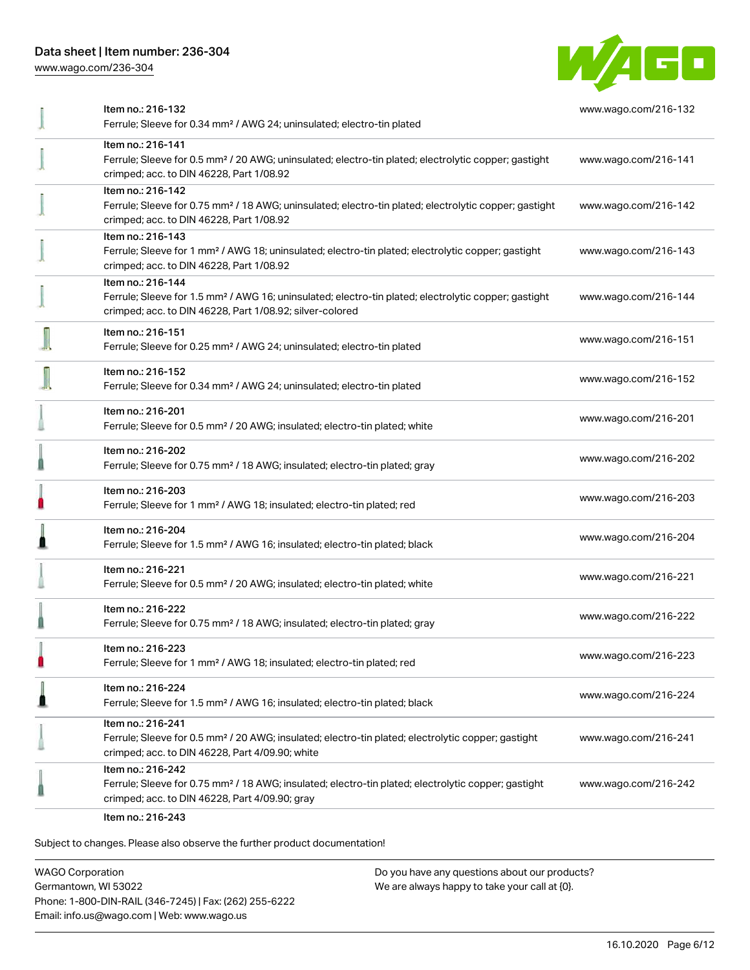[www.wago.com/236-304](http://www.wago.com/236-304)



| Item no.: 216-132<br>Ferrule; Sleeve for 0.34 mm <sup>2</sup> / AWG 24; uninsulated; electro-tin plated                                                                                           | www.wago.com/216-132 |
|---------------------------------------------------------------------------------------------------------------------------------------------------------------------------------------------------|----------------------|
| Item no.: 216-141<br>Ferrule; Sleeve for 0.5 mm <sup>2</sup> / 20 AWG; uninsulated; electro-tin plated; electrolytic copper; gastight<br>crimped; acc. to DIN 46228, Part 1/08.92                 | www.wago.com/216-141 |
| Item no.: 216-142<br>Ferrule; Sleeve for 0.75 mm <sup>2</sup> / 18 AWG; uninsulated; electro-tin plated; electrolytic copper; gastight<br>crimped; acc. to DIN 46228, Part 1/08.92                | www.wago.com/216-142 |
| Item no.: 216-143<br>Ferrule; Sleeve for 1 mm <sup>2</sup> / AWG 18; uninsulated; electro-tin plated; electrolytic copper; gastight<br>crimped; acc. to DIN 46228, Part 1/08.92                   | www.wago.com/216-143 |
| Item no.: 216-144<br>Ferrule; Sleeve for 1.5 mm <sup>2</sup> / AWG 16; uninsulated; electro-tin plated; electrolytic copper; gastight<br>crimped; acc. to DIN 46228, Part 1/08.92; silver-colored | www.wago.com/216-144 |
| Item no.: 216-151<br>Ferrule; Sleeve for 0.25 mm <sup>2</sup> / AWG 24; uninsulated; electro-tin plated                                                                                           | www.wago.com/216-151 |
| Item no.: 216-152<br>Ferrule; Sleeve for 0.34 mm <sup>2</sup> / AWG 24; uninsulated; electro-tin plated                                                                                           | www.wago.com/216-152 |
| Item no.: 216-201<br>Ferrule; Sleeve for 0.5 mm <sup>2</sup> / 20 AWG; insulated; electro-tin plated; white                                                                                       | www.wago.com/216-201 |
| Item no.: 216-202<br>Ferrule; Sleeve for 0.75 mm <sup>2</sup> / 18 AWG; insulated; electro-tin plated; gray                                                                                       | www.wago.com/216-202 |
| Item no.: 216-203<br>Ferrule; Sleeve for 1 mm <sup>2</sup> / AWG 18; insulated; electro-tin plated; red                                                                                           | www.wago.com/216-203 |
| Item no.: 216-204<br>Ferrule; Sleeve for 1.5 mm <sup>2</sup> / AWG 16; insulated; electro-tin plated; black                                                                                       | www.wago.com/216-204 |
| Item no.: 216-221<br>Ferrule; Sleeve for 0.5 mm <sup>2</sup> / 20 AWG; insulated; electro-tin plated; white                                                                                       | www.wago.com/216-221 |
| Item no.: 216-222<br>Ferrule; Sleeve for 0.75 mm <sup>2</sup> / 18 AWG; insulated; electro-tin plated; gray                                                                                       | www.wago.com/216-222 |
| ltem no.: 216-223<br>Ferrule; Sleeve for 1 mm <sup>2</sup> / AWG 18; insulated; electro-tin plated; red                                                                                           | www.wago.com/216-223 |
| Item no.: 216-224<br>Ferrule; Sleeve for 1.5 mm <sup>2</sup> / AWG 16; insulated; electro-tin plated; black                                                                                       | www.wago.com/216-224 |
| Item no.: 216-241<br>Ferrule; Sleeve for 0.5 mm <sup>2</sup> / 20 AWG; insulated; electro-tin plated; electrolytic copper; gastight<br>crimped; acc. to DIN 46228, Part 4/09.90; white            | www.wago.com/216-241 |
| Item no.: 216-242<br>Ferrule; Sleeve for 0.75 mm <sup>2</sup> / 18 AWG; insulated; electro-tin plated; electrolytic copper; gastight<br>crimped; acc. to DIN 46228, Part 4/09.90; gray            | www.wago.com/216-242 |
| 0.01000                                                                                                                                                                                           |                      |

Item no.: 216-243

Subject to changes. Please also observe the further product documentation!

WAGO Corporation Germantown, WI 53022 Phone: 1-800-DIN-RAIL (346-7245) | Fax: (262) 255-6222 Email: info.us@wago.com | Web: www.wago.us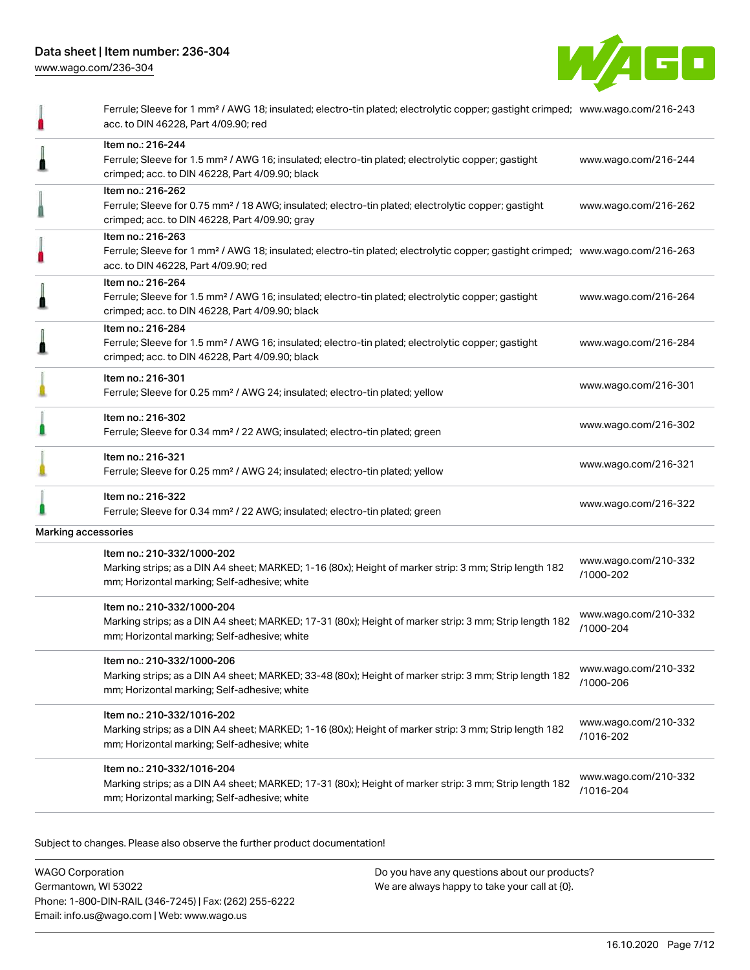

|                     | Ferrule; Sleeve for 1 mm <sup>2</sup> / AWG 18; insulated; electro-tin plated; electrolytic copper; gastight crimped; www.wago.com/216-243<br>acc. to DIN 46228, Part 4/09.90; red                      |                                   |
|---------------------|---------------------------------------------------------------------------------------------------------------------------------------------------------------------------------------------------------|-----------------------------------|
|                     | Item no.: 216-244<br>Ferrule; Sleeve for 1.5 mm <sup>2</sup> / AWG 16; insulated; electro-tin plated; electrolytic copper; gastight<br>crimped; acc. to DIN 46228, Part 4/09.90; black                  | www.wago.com/216-244              |
|                     | Item no.: 216-262<br>Ferrule; Sleeve for 0.75 mm <sup>2</sup> / 18 AWG; insulated; electro-tin plated; electrolytic copper; gastight<br>crimped; acc. to DIN 46228, Part 4/09.90; gray                  | www.wago.com/216-262              |
|                     | Item no.: 216-263<br>Ferrule; Sleeve for 1 mm <sup>2</sup> / AWG 18; insulated; electro-tin plated; electrolytic copper; gastight crimped; www.wago.com/216-263<br>acc. to DIN 46228, Part 4/09.90; red |                                   |
|                     | Item no.: 216-264<br>Ferrule; Sleeve for 1.5 mm <sup>2</sup> / AWG 16; insulated; electro-tin plated; electrolytic copper; gastight<br>crimped; acc. to DIN 46228, Part 4/09.90; black                  | www.wago.com/216-264              |
|                     | Item no.: 216-284<br>Ferrule; Sleeve for 1.5 mm <sup>2</sup> / AWG 16; insulated; electro-tin plated; electrolytic copper; gastight<br>crimped; acc. to DIN 46228, Part 4/09.90; black                  | www.wago.com/216-284              |
|                     | Item no.: 216-301<br>Ferrule; Sleeve for 0.25 mm <sup>2</sup> / AWG 24; insulated; electro-tin plated; yellow                                                                                           | www.wago.com/216-301              |
|                     | Item no.: 216-302<br>Ferrule; Sleeve for 0.34 mm <sup>2</sup> / 22 AWG; insulated; electro-tin plated; green                                                                                            | www.wago.com/216-302              |
|                     | Item no.: 216-321<br>Ferrule; Sleeve for 0.25 mm <sup>2</sup> / AWG 24; insulated; electro-tin plated; yellow                                                                                           | www.wago.com/216-321              |
|                     | Item no.: 216-322<br>Ferrule; Sleeve for 0.34 mm <sup>2</sup> / 22 AWG; insulated; electro-tin plated; green                                                                                            | www.wago.com/216-322              |
| Marking accessories |                                                                                                                                                                                                         |                                   |
|                     | Item no.: 210-332/1000-202<br>Marking strips; as a DIN A4 sheet; MARKED; 1-16 (80x); Height of marker strip: 3 mm; Strip length 182<br>mm; Horizontal marking; Self-adhesive; white                     | www.wago.com/210-332<br>/1000-202 |
|                     | Item no.: 210-332/1000-204<br>Marking strips; as a DIN A4 sheet; MARKED; 17-31 (80x); Height of marker strip: 3 mm; Strip length 182<br>mm; Horizontal marking; Self-adhesive; white                    | www.wago.com/210-332<br>/1000-204 |
|                     | Item no.: 210-332/1000-206<br>Marking strips; as a DIN A4 sheet; MARKED; 33-48 (80x); Height of marker strip: 3 mm; Strip length 182<br>mm; Horizontal marking; Self-adhesive; white                    | www.wago.com/210-332<br>/1000-206 |
|                     | Item no.: 210-332/1016-202<br>Marking strips; as a DIN A4 sheet; MARKED; 1-16 (80x); Height of marker strip: 3 mm; Strip length 182<br>mm; Horizontal marking; Self-adhesive; white                     | www.wago.com/210-332<br>/1016-202 |
|                     | Item no.: 210-332/1016-204<br>Marking strips; as a DIN A4 sheet; MARKED; 17-31 (80x); Height of marker strip: 3 mm; Strip length 182<br>mm; Horizontal marking; Self-adhesive; white                    | www.wago.com/210-332<br>/1016-204 |
|                     |                                                                                                                                                                                                         |                                   |

Subject to changes. Please also observe the further product documentation!

WAGO Corporation Germantown, WI 53022 Phone: 1-800-DIN-RAIL (346-7245) | Fax: (262) 255-6222 Email: info.us@wago.com | Web: www.wago.us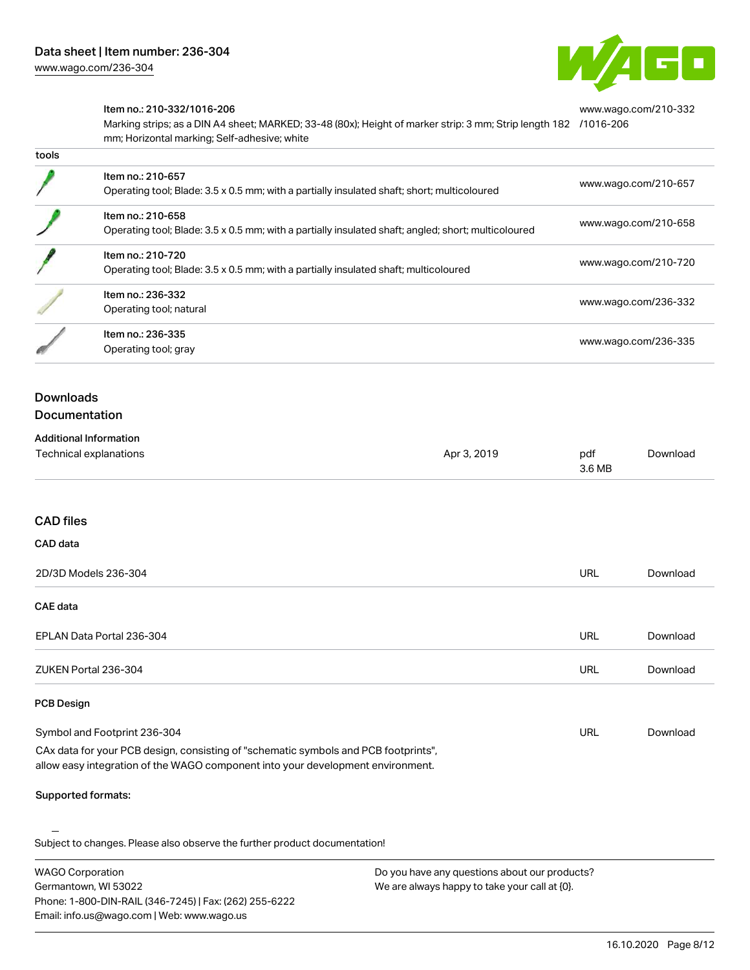

[www.wago.com/210-332](http://www.wago.com/210-332/1016-206)

#### Item no.: 210-332/1016-206

Marking strips; as a DIN A4 sheet; MARKED; 33-48 (80x); Height of marker strip: 3 mm; Strip length 182 [/1016-206](http://www.wago.com/210-332/1016-206) mm; Horizontal marking; Self-adhesive; white

| เบบเจ |                                                                                                                          |                      |
|-------|--------------------------------------------------------------------------------------------------------------------------|----------------------|
|       | Item no.: 210-657<br>Operating tool; Blade: 3.5 x 0.5 mm; with a partially insulated shaft; short; multicoloured         | www.wago.com/210-657 |
|       | Item no.: 210-658<br>Operating tool; Blade: 3.5 x 0.5 mm; with a partially insulated shaft; angled; short; multicoloured | www.wago.com/210-658 |
|       | Item no.: 210-720<br>Operating tool; Blade: 3.5 x 0.5 mm; with a partially insulated shaft; multicoloured                | www.wago.com/210-720 |
|       | Item no.: 236-332<br>Operating tool; natural                                                                             | www.wago.com/236-332 |
|       | Item no.: 236-335<br>Operating tool; gray                                                                                | www.wago.com/236-335 |
|       |                                                                                                                          |                      |

# Downloads

tools

#### **Documentation**

| <b>Additional Information</b> |             |        |          |
|-------------------------------|-------------|--------|----------|
| Technical explanations        | Apr 3, 2019 | pdf    | Download |
|                               |             | 3.6 MB |          |

#### CAD files

| CAD data                  |            |          |
|---------------------------|------------|----------|
| 2D/3D Models 236-304      | <b>URL</b> | Download |
| <b>CAE data</b>           |            |          |
| EPLAN Data Portal 236-304 | URL        | Download |
| ZUKEN Portal 236-304      | <b>URL</b> | Download |
| <b>PCB Design</b>         |            |          |

#### Symbol and Footprint 236-304 CAx data for your PCB design, consisting of "schematic symbols and PCB footprints", URL [Download](https://www.wago.com/us/d/UltraLibrarian_URLS_236-304)

allow easy integration of the WAGO component into your development environment.

#### Supported formats:

Subject to changes. Please also observe the further product documentation!

WAGO Corporation Germantown, WI 53022 Phone: 1-800-DIN-RAIL (346-7245) | Fax: (262) 255-6222 Email: info.us@wago.com | Web: www.wago.us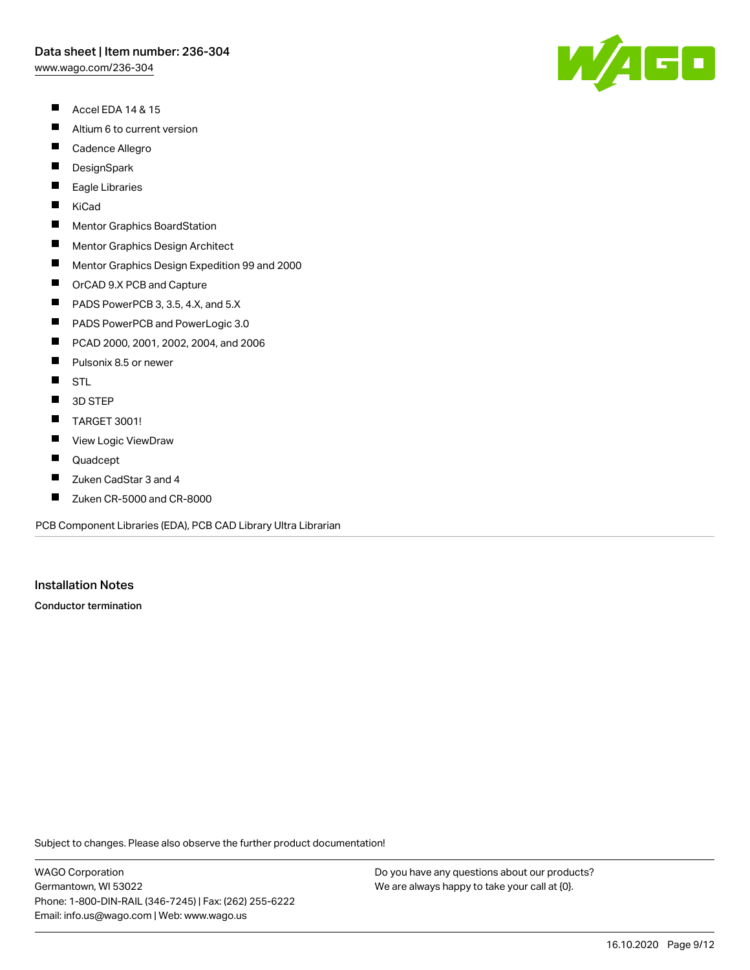[www.wago.com/236-304](http://www.wago.com/236-304)

- $\blacksquare$ Accel EDA 14 & 15
- $\blacksquare$ Altium 6 to current version
- $\blacksquare$ Cadence Allegro
- $\blacksquare$ **DesignSpark**
- П Eagle Libraries
- $\blacksquare$ KiCad
- $\blacksquare$ Mentor Graphics BoardStation
- $\blacksquare$ Mentor Graphics Design Architect
- $\blacksquare$ Mentor Graphics Design Expedition 99 and 2000
- $\blacksquare$ OrCAD 9.X PCB and Capture
- $\blacksquare$ PADS PowerPCB 3, 3.5, 4.X, and 5.X
- $\blacksquare$ PADS PowerPCB and PowerLogic 3.0
- $\blacksquare$ PCAD 2000, 2001, 2002, 2004, and 2006
- $\blacksquare$ Pulsonix 8.5 or newer
- $\blacksquare$ **STL**
- $\blacksquare$ 3D STEP
- $\blacksquare$ TARGET 3001!
- $\blacksquare$ View Logic ViewDraw
- $\blacksquare$ Quadcept
- П Zuken CadStar 3 and 4
- $\blacksquare$ Zuken CR-5000 and CR-8000

PCB Component Libraries (EDA), PCB CAD Library Ultra Librarian

#### Installation Notes

Conductor termination

Subject to changes. Please also observe the further product documentation!

WAGO Corporation Germantown, WI 53022 Phone: 1-800-DIN-RAIL (346-7245) | Fax: (262) 255-6222 Email: info.us@wago.com | Web: www.wago.us

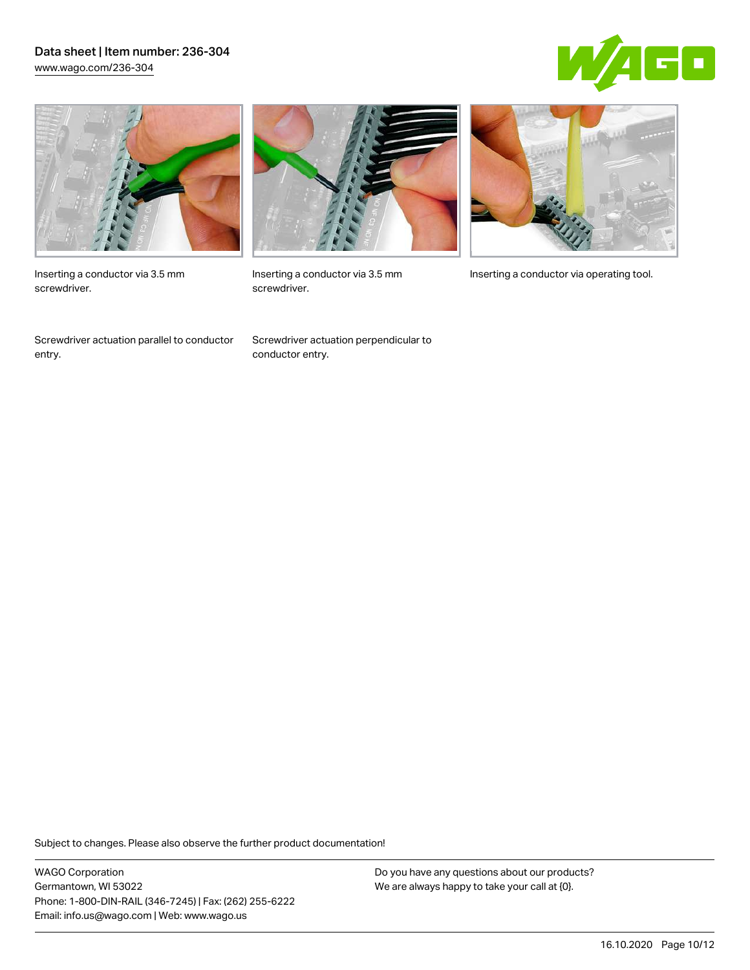### Data sheet | Item number: 236-304 [www.wago.com/236-304](http://www.wago.com/236-304)





Inserting a conductor via 3.5 mm screwdriver.

Screwdriver actuation parallel to conductor entry.



screwdriver.

Screwdriver actuation perpendicular to conductor entry.



Inserting a conductor via 3.5 mm Inserting a conductor via operating tool.

Subject to changes. Please also observe the further product documentation!

WAGO Corporation Germantown, WI 53022 Phone: 1-800-DIN-RAIL (346-7245) | Fax: (262) 255-6222 Email: info.us@wago.com | Web: www.wago.us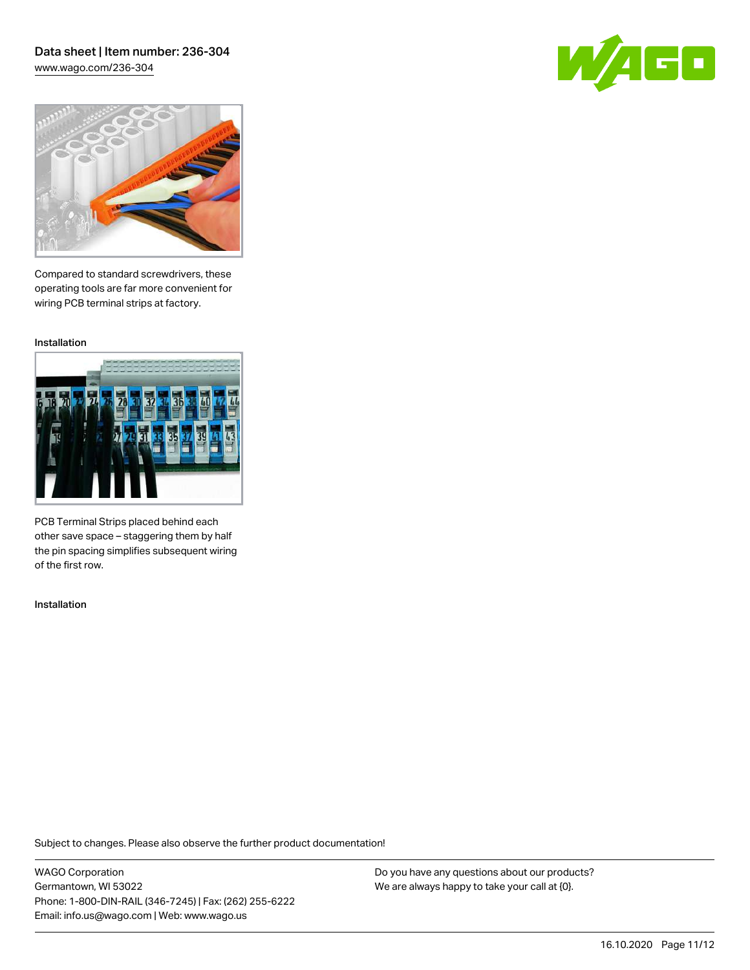## Data sheet | Item number: 236-304 [www.wago.com/236-304](http://www.wago.com/236-304)

GO



Compared to standard screwdrivers, these operating tools are far more convenient for wiring PCB terminal strips at factory.

Installation



PCB Terminal Strips placed behind each other save space – staggering them by half the pin spacing simplifies subsequent wiring of the first row.

Installation

Subject to changes. Please also observe the further product documentation!

WAGO Corporation Germantown, WI 53022 Phone: 1-800-DIN-RAIL (346-7245) | Fax: (262) 255-6222 Email: info.us@wago.com | Web: www.wago.us